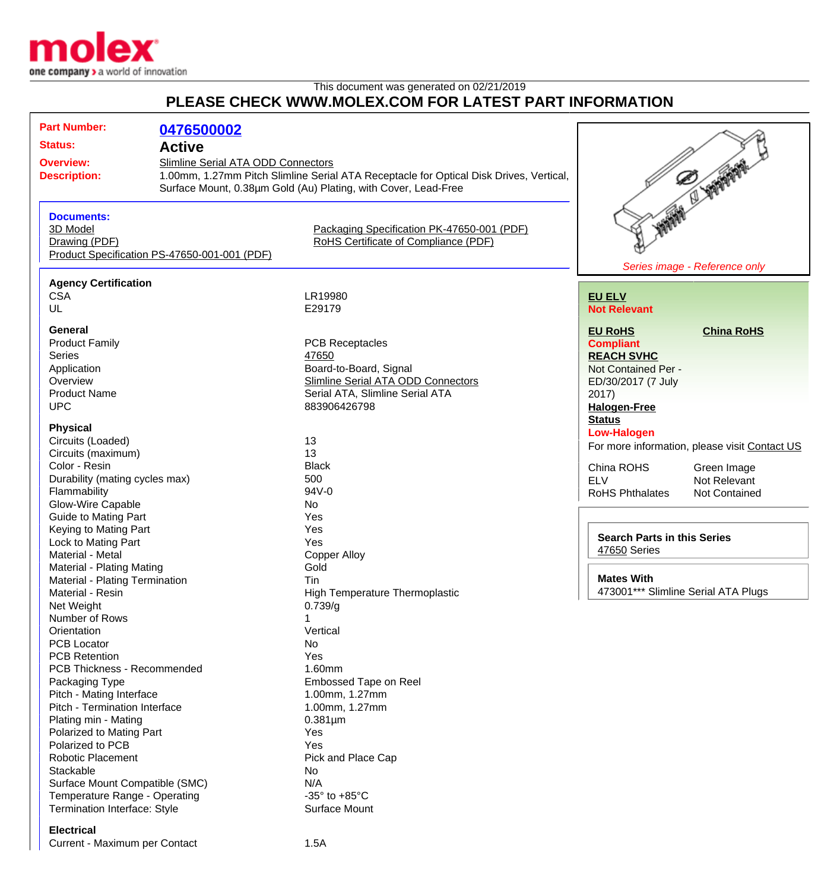

## This document was generated on 02/21/2019 **PLEASE CHECK WWW.MOLEX.COM FOR LATEST PART INFORMATION**

| <b>Part Number:</b><br><b>Status:</b><br><b>Overview:</b><br><b>Description:</b>                                                                                                    | 0476500002<br><b>Active</b><br>Slimline Serial ATA ODD Connectors | 1.00mm, 1.27mm Pitch Slimline Serial ATA Receptacle for Optical Disk Drives, Vertical,<br>Surface Mount, 0.38um Gold (Au) Plating, with Cover, Lead-Free  | STATE OF STATES                                                                                                                                                                                   |
|-------------------------------------------------------------------------------------------------------------------------------------------------------------------------------------|-------------------------------------------------------------------|-----------------------------------------------------------------------------------------------------------------------------------------------------------|---------------------------------------------------------------------------------------------------------------------------------------------------------------------------------------------------|
| <b>Documents:</b><br>3D Model<br>Drawing (PDF)                                                                                                                                      | Product Specification PS-47650-001-001 (PDF)                      | Packaging Specification PK-47650-001 (PDF)<br>RoHS Certificate of Compliance (PDF)                                                                        | Series image - Reference only                                                                                                                                                                     |
| <b>Agency Certification</b><br><b>CSA</b><br>UL                                                                                                                                     |                                                                   | LR19980<br>E29179                                                                                                                                         | <b>EU ELV</b><br><b>Not Relevant</b>                                                                                                                                                              |
| General<br><b>Product Family</b><br><b>Series</b><br>Application<br>Overview<br><b>Product Name</b><br><b>UPC</b>                                                                   |                                                                   | <b>PCB Receptacles</b><br>47650<br>Board-to-Board, Signal<br><b>Slimline Serial ATA ODD Connectors</b><br>Serial ATA, Slimline Serial ATA<br>883906426798 | <b>EU RoHS</b><br><b>China RoHS</b><br><b>Compliant</b><br><b>REACH SVHC</b><br>Not Contained Per -<br>ED/30/2017 (7 July<br>2017)<br><b>Halogen-Free</b>                                         |
| <b>Physical</b><br>Circuits (Loaded)<br>Circuits (maximum)<br>Color - Resin<br>Durability (mating cycles max)<br>Flammability                                                       |                                                                   | 13<br>13<br><b>Black</b><br>500<br>94V-0<br>No                                                                                                            | <b>Status</b><br><b>Low-Halogen</b><br>For more information, please visit Contact US<br>China ROHS<br>Green Image<br><b>ELV</b><br>Not Relevant<br><b>RoHS Phthalates</b><br><b>Not Contained</b> |
| Glow-Wire Capable<br><b>Guide to Mating Part</b><br>Keying to Mating Part<br>Lock to Mating Part<br>Material - Metal<br>Material - Plating Mating<br>Material - Plating Termination |                                                                   | Yes<br>Yes<br>Yes<br><b>Copper Alloy</b><br>Gold<br>Tin                                                                                                   | <b>Search Parts in this Series</b><br>47650 Series<br><b>Mates With</b>                                                                                                                           |
| Material - Resin<br>Net Weight<br>Number of Rows<br>Orientation<br><b>PCB Locator</b><br><b>PCB Retention</b>                                                                       |                                                                   | High Temperature Thermoplastic<br>0.739/g<br>Vertical<br>No<br>Yes                                                                                        | 473001*** Slimline Serial ATA Plugs                                                                                                                                                               |
| PCB Thickness - Recommended<br>Packaging Type<br>Pitch - Mating Interface<br>Pitch - Termination Interface<br>Plating min - Mating<br>Polarized to Mating Part                      |                                                                   | 1.60mm<br><b>Embossed Tape on Reel</b><br>1.00mm, 1.27mm<br>1.00mm, 1.27mm<br>$0.381 \mu m$<br>Yes                                                        |                                                                                                                                                                                                   |
| Polarized to PCB<br><b>Robotic Placement</b><br>Stackable<br>Surface Mount Compatible (SMC)<br>Temperature Range - Operating<br>Termination Interface: Style                        |                                                                   | Yes<br>Pick and Place Cap<br>No<br>N/A<br>-35 $\degree$ to +85 $\degree$ C<br>Surface Mount                                                               |                                                                                                                                                                                                   |

## **Electrical**

Current - Maximum per Contact 1.5A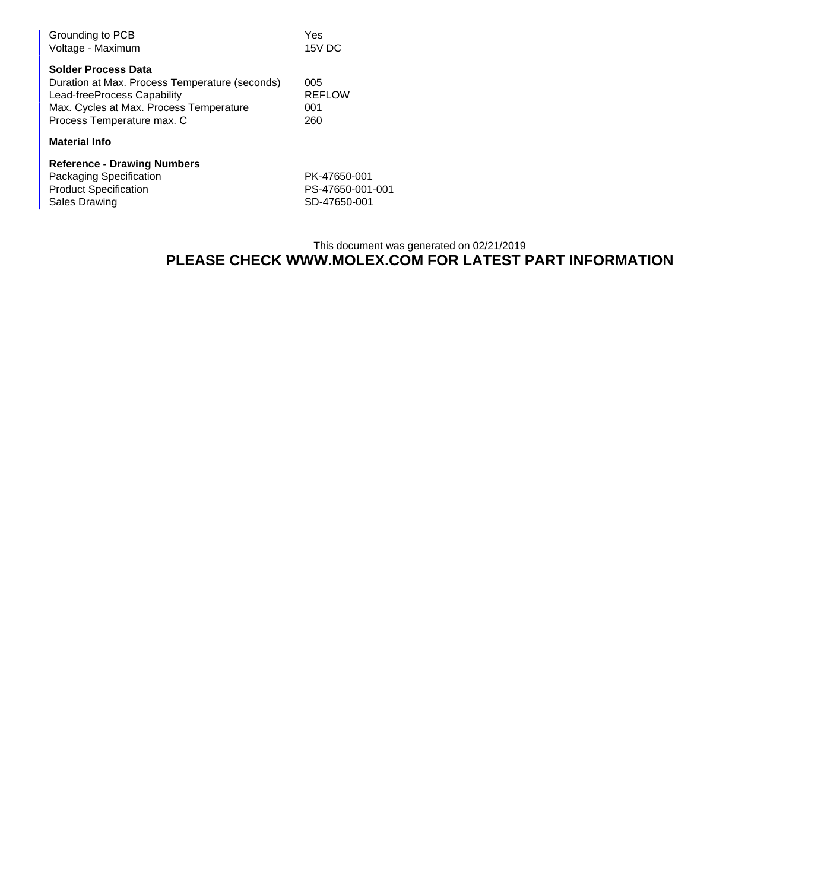| Grounding to PCB<br>Voltage - Maximum                                                                                                                                                | Yes<br>15V DC                      |
|--------------------------------------------------------------------------------------------------------------------------------------------------------------------------------------|------------------------------------|
| <b>Solder Process Data</b><br>Duration at Max. Process Temperature (seconds)<br>Lead-freeProcess Capability<br>Max. Cycles at Max. Process Temperature<br>Process Temperature max. C | 005<br><b>REFLOW</b><br>001<br>260 |
| <b>Material Info</b>                                                                                                                                                                 |                                    |
| <b>Reference - Drawing Numbers</b>                                                                                                                                                   |                                    |
| Packaging Specification                                                                                                                                                              | PK-47650-001                       |
| <b>Product Specification</b>                                                                                                                                                         | PS-47650-001-001                   |
| <b>Sales Drawing</b>                                                                                                                                                                 | SD-47650-001                       |

## This document was generated on 02/21/2019 **PLEASE CHECK WWW.MOLEX.COM FOR LATEST PART INFORMATION**